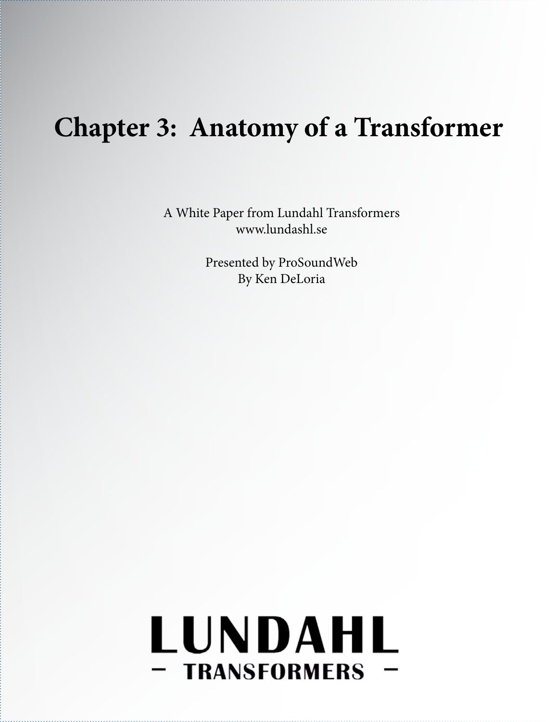## **Chapter 3: Anatomy of a Transformer**

A White Paper from Lundahl Transformers www.lundashl.se

> Presented by ProSoundWeb By Ken DeLoria

# LUNDAHL - TRANSFORMERS -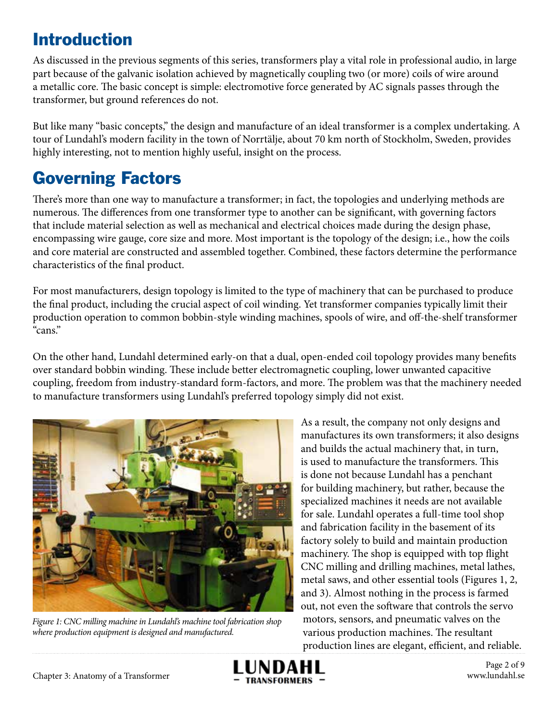#### Introduction

As discussed in the previous segments of this series, transformers play a vital role in professional audio, in large part because of the galvanic isolation achieved by magnetically coupling two (or more) coils of wire around a metallic core. The basic concept is simple: electromotive force generated by AC signals passes through the transformer, but ground references do not.

But like many "basic concepts," the design and manufacture of an ideal transformer is a complex undertaking. A tour of Lundahl's modern facility in the town of Norrtälje, about 70 km north of Stockholm, Sweden, provides highly interesting, not to mention highly useful, insight on the process.

### Governing Factors

There's more than one way to manufacture a transformer; in fact, the topologies and underlying methods are numerous. The differences from one transformer type to another can be significant, with governing factors that include material selection as well as mechanical and electrical choices made during the design phase, encompassing wire gauge, core size and more. Most important is the topology of the design; i.e., how the coils and core material are constructed and assembled together. Combined, these factors determine the performance characteristics of the final product.

For most manufacturers, design topology is limited to the type of machinery that can be purchased to produce the final product, including the crucial aspect of coil winding. Yet transformer companies typically limit their production operation to common bobbin-style winding machines, spools of wire, and off-the-shelf transformer "cans."

On the other hand, Lundahl determined early-on that a dual, open-ended coil topology provides many benefits over standard bobbin winding. These include better electromagnetic coupling, lower unwanted capacitive coupling, freedom from industry-standard form-factors, and more. The problem was that the machinery needed to manufacture transformers using Lundahl's preferred topology simply did not exist.



*Figure 1: CNC milling machine in Lundahl's machine tool fabrication shop where production equipment is designed and manufactured.*

As a result, the company not only designs and manufactures its own transformers; it also designs and builds the actual machinery that, in turn, is used to manufacture the transformers. This is done not because Lundahl has a penchant for building machinery, but rather, because the specialized machines it needs are not available for sale. Lundahl operates a full-time tool shop and fabrication facility in the basement of its factory solely to build and maintain production machinery. The shop is equipped with top flight CNC milling and drilling machines, metal lathes, metal saws, and other essential tools (Figures 1, 2, and 3). Almost nothing in the process is farmed out, not even the software that controls the servo motors, sensors, and pneumatic valves on the various production machines. The resultant production lines are elegant, efficient, and reliable.

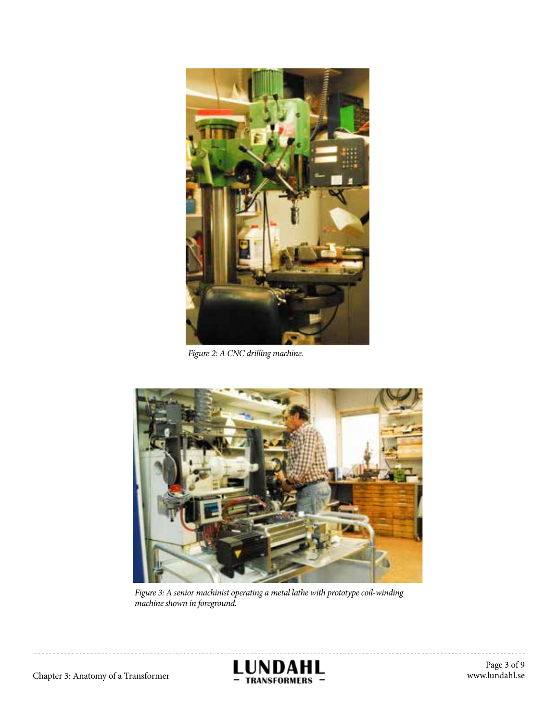

*Figure 2: A CNC drilling machine.*



*Figure 3: A senior machinist operating a metal lathe with prototype coil-winding machine shown in foreground.*



Page 3 of 9 www.lundahl.se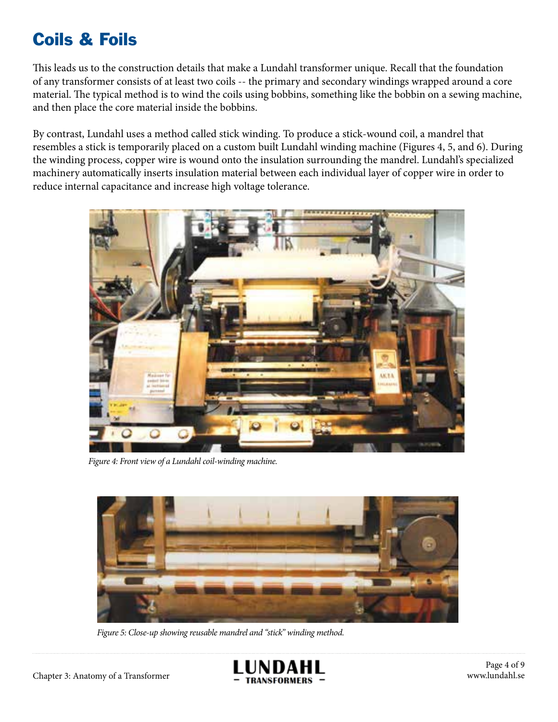#### Coils & Foils

This leads us to the construction details that make a Lundahl transformer unique. Recall that the foundation of any transformer consists of at least two coils -- the primary and secondary windings wrapped around a core material. The typical method is to wind the coils using bobbins, something like the bobbin on a sewing machine, and then place the core material inside the bobbins.

By contrast, Lundahl uses a method called stick winding. To produce a stick-wound coil, a mandrel that resembles a stick is temporarily placed on a custom built Lundahl winding machine (Figures 4, 5, and 6). During the winding process, copper wire is wound onto the insulation surrounding the mandrel. Lundahl's specialized machinery automatically inserts insulation material between each individual layer of copper wire in order to reduce internal capacitance and increase high voltage tolerance.



*Figure 4: Front view of a Lundahl coil-winding machine.*



*Figure 5: Close-up showing reusable mandrel and "stick" winding method.*

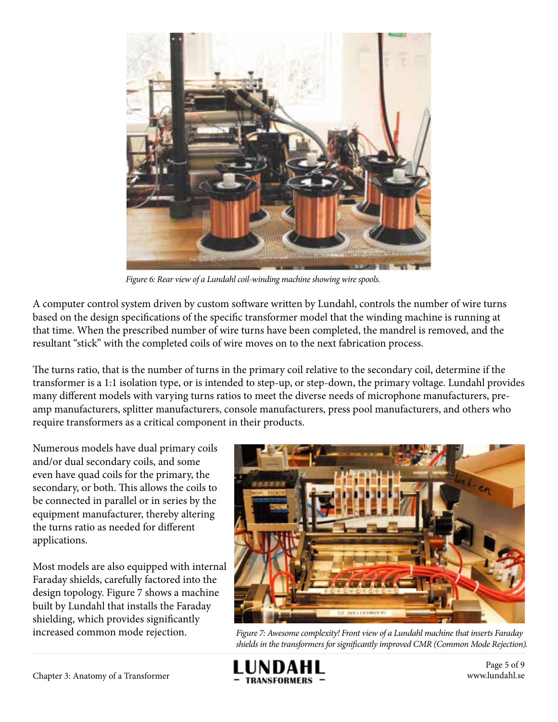

*Figure 6: Rear view of a Lundahl coil-winding machine showing wire spools.*

A computer control system driven by custom software written by Lundahl, controls the number of wire turns based on the design specifications of the specific transformer model that the winding machine is running at that time. When the prescribed number of wire turns have been completed, the mandrel is removed, and the resultant "stick" with the completed coils of wire moves on to the next fabrication process.

The turns ratio, that is the number of turns in the primary coil relative to the secondary coil, determine if the transformer is a 1:1 isolation type, or is intended to step-up, or step-down, the primary voltage. Lundahl provides many different models with varying turns ratios to meet the diverse needs of microphone manufacturers, preamp manufacturers, splitter manufacturers, console manufacturers, press pool manufacturers, and others who require transformers as a critical component in their products.

Numerous models have dual primary coils and/or dual secondary coils, and some even have quad coils for the primary, the secondary, or both. This allows the coils to be connected in parallel or in series by the equipment manufacturer, thereby altering the turns ratio as needed for different applications.

Most models are also equipped with internal Faraday shields, carefully factored into the design topology. Figure 7 shows a machine built by Lundahl that installs the Faraday shielding, which provides significantly



increased common mode rejection. *Figure 7: Awesome complexity! Front view of a Lundahl machine that inserts Faraday shields in the transformers for significantly improved CMR (Common Mode Rejection).*



Page 5 of 9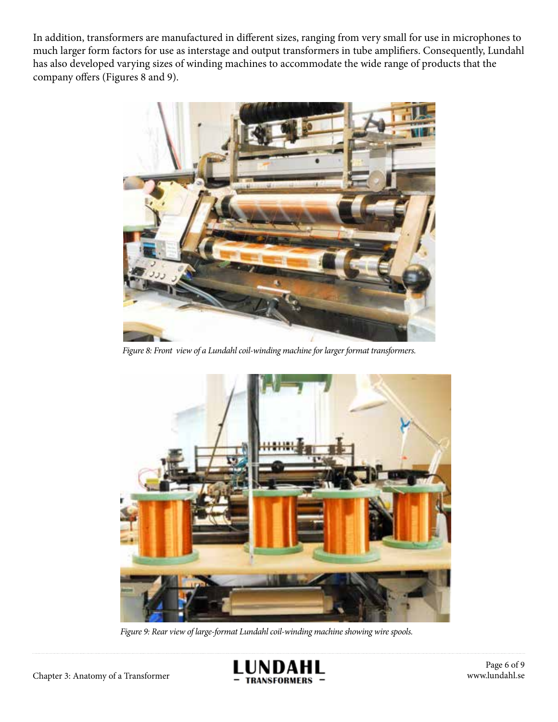In addition, transformers are manufactured in different sizes, ranging from very small for use in microphones to much larger form factors for use as interstage and output transformers in tube amplifiers. Consequently, Lundahl has also developed varying sizes of winding machines to accommodate the wide range of products that the company offers (Figures 8 and 9).



*Figure 8: Front view of a Lundahl coil-winding machine for larger format transformers.*



*Figure 9: Rear view of large-format Lundahl coil-winding machine showing wire spools.*

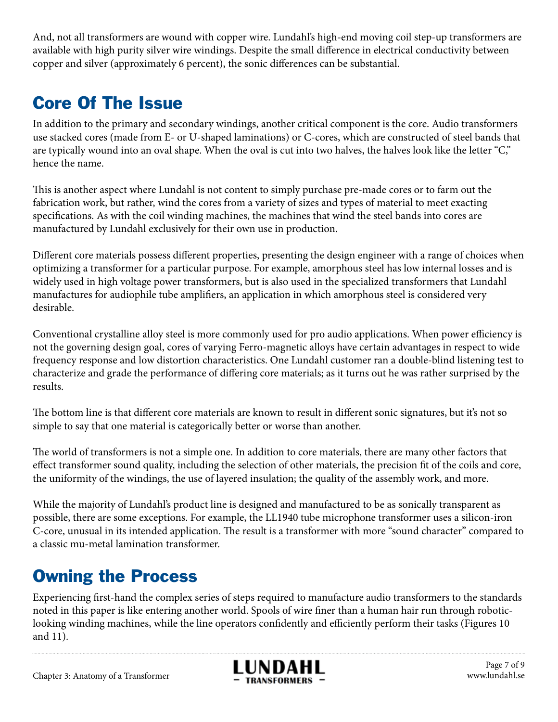And, not all transformers are wound with copper wire. Lundahl's high-end moving coil step-up transformers are available with high purity silver wire windings. Despite the small difference in electrical conductivity between copper and silver (approximately 6 percent), the sonic differences can be substantial.

#### Core Of The Issue

In addition to the primary and secondary windings, another critical component is the core. Audio transformers use stacked cores (made from E- or U-shaped laminations) or C-cores, which are constructed of steel bands that are typically wound into an oval shape. When the oval is cut into two halves, the halves look like the letter "C," hence the name.

This is another aspect where Lundahl is not content to simply purchase pre-made cores or to farm out the fabrication work, but rather, wind the cores from a variety of sizes and types of material to meet exacting specifications. As with the coil winding machines, the machines that wind the steel bands into cores are manufactured by Lundahl exclusively for their own use in production.

Different core materials possess different properties, presenting the design engineer with a range of choices when optimizing a transformer for a particular purpose. For example, amorphous steel has low internal losses and is widely used in high voltage power transformers, but is also used in the specialized transformers that Lundahl manufactures for audiophile tube amplifiers, an application in which amorphous steel is considered very desirable.

Conventional crystalline alloy steel is more commonly used for pro audio applications. When power efficiency is not the governing design goal, cores of varying Ferro-magnetic alloys have certain advantages in respect to wide frequency response and low distortion characteristics. One Lundahl customer ran a double-blind listening test to characterize and grade the performance of differing core materials; as it turns out he was rather surprised by the results.

The bottom line is that different core materials are known to result in different sonic signatures, but it's not so simple to say that one material is categorically better or worse than another.

The world of transformers is not a simple one. In addition to core materials, there are many other factors that effect transformer sound quality, including the selection of other materials, the precision fit of the coils and core, the uniformity of the windings, the use of layered insulation; the quality of the assembly work, and more.

While the majority of Lundahl's product line is designed and manufactured to be as sonically transparent as possible, there are some exceptions. For example, the LL1940 tube microphone transformer uses a silicon-iron C-core, unusual in its intended application. The result is a transformer with more "sound character" compared to a classic mu-metal lamination transformer.

#### Owning the Process

Experiencing first-hand the complex series of steps required to manufacture audio transformers to the standards noted in this paper is like entering another world. Spools of wire finer than a human hair run through roboticlooking winding machines, while the line operators confidently and efficiently perform their tasks (Figures 10 and 11).

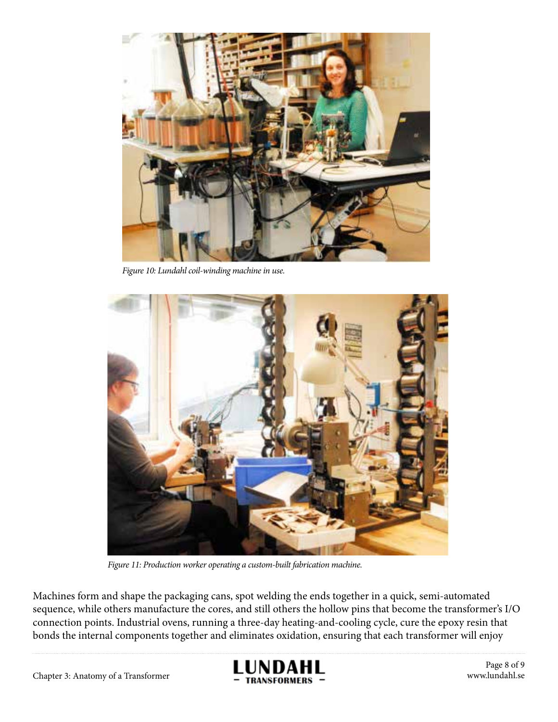

*Figure 10: Lundahl coil-winding machine in use.*



*Figure 11: Production worker operating a custom-built fabrication machine.*

Machines form and shape the packaging cans, spot welding the ends together in a quick, semi-automated sequence, while others manufacture the cores, and still others the hollow pins that become the transformer's I/O connection points. Industrial ovens, running a three-day heating-and-cooling cycle, cure the epoxy resin that bonds the internal components together and eliminates oxidation, ensuring that each transformer will enjoy